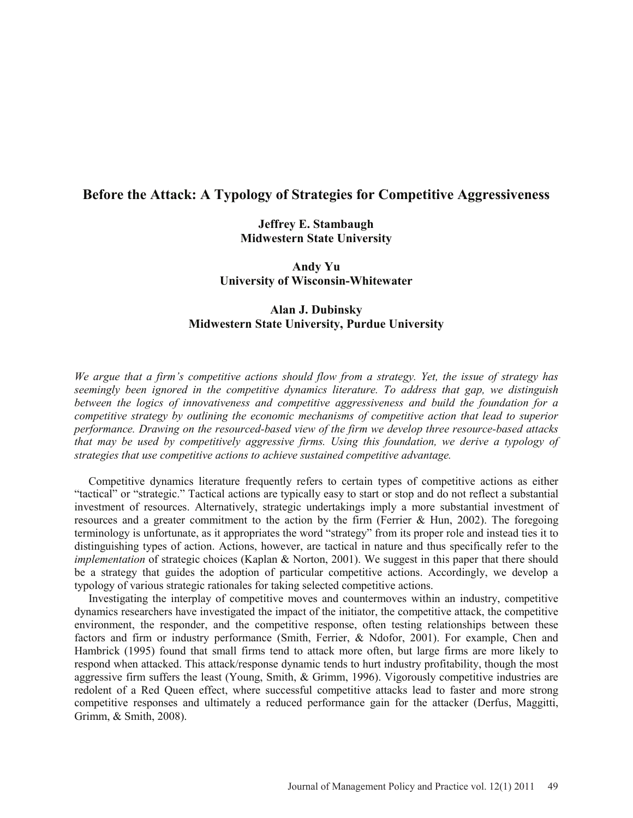# **Before the Attack: A Typology of Strategies for Competitive Aggressiveness**

**Jeffrey E. Stambaugh Midwestern State University**

**Andy Yu University of Wisconsin-Whitewater**

# **Alan J. Dubinsky Midwestern State University, Purdue University**

*We argue that a firm's competitive actions should flow from a strategy. Yet, the issue of strategy has seemingly been ignored in the competitive dynamics literature. To address that gap, we distinguish between the logics of innovativeness and competitive aggressiveness and build the foundation for a competitive strategy by outlining the economic mechanisms of competitive action that lead to superior performance. Drawing on the resourced-based view of the firm we develop three resource-based attacks that may be used by competitively aggressive firms. Using this foundation, we derive a typology of strategies that use competitive actions to achieve sustained competitive advantage.*

Competitive dynamics literature frequently refers to certain types of competitive actions as either "tactical" or "strategic." Tactical actions are typically easy to start or stop and do not reflect a substantial investment of resources. Alternatively, strategic undertakings imply a more substantial investment of resources and a greater commitment to the action by the firm (Ferrier  $\&$  Hun, 2002). The foregoing terminology is unfortunate, as it appropriates the word "strategy" from its proper role and instead ties it to distinguishing types of action. Actions, however, are tactical in nature and thus specifically refer to the *implementation* of strategic choices (Kaplan & Norton, 2001). We suggest in this paper that there should be a strategy that guides the adoption of particular competitive actions. Accordingly, we develop a typology of various strategic rationales for taking selected competitive actions.

Investigating the interplay of competitive moves and countermoves within an industry, competitive dynamics researchers have investigated the impact of the initiator, the competitive attack, the competitive environment, the responder, and the competitive response, often testing relationships between these factors and firm or industry performance (Smith, Ferrier, & Ndofor, 2001). For example, Chen and Hambrick (1995) found that small firms tend to attack more often, but large firms are more likely to respond when attacked. This attack/response dynamic tends to hurt industry profitability, though the most aggressive firm suffers the least (Young, Smith, & Grimm, 1996). Vigorously competitive industries are redolent of a Red Queen effect, where successful competitive attacks lead to faster and more strong competitive responses and ultimately a reduced performance gain for the attacker (Derfus, Maggitti, Grimm, & Smith, 2008).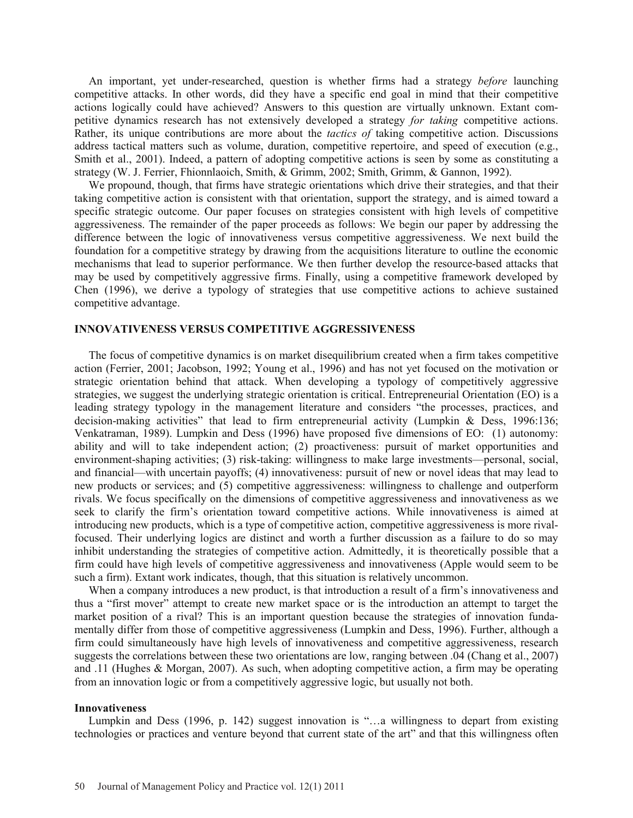An important, yet under-researched, question is whether firms had a strategy *before* launching competitive attacks. In other words, did they have a specific end goal in mind that their competitive actions logically could have achieved? Answers to this question are virtually unknown. Extant competitive dynamics research has not extensively developed a strategy *for taking* competitive actions. Rather, its unique contributions are more about the *tactics of* taking competitive action. Discussions address tactical matters such as volume, duration, competitive repertoire, and speed of execution (e.g., Smith et al., 2001). Indeed, a pattern of adopting competitive actions is seen by some as constituting a strategy (W. J. Ferrier, Fhionnlaoich, Smith, & Grimm, 2002; Smith, Grimm, & Gannon, 1992).

We propound, though, that firms have strategic orientations which drive their strategies, and that their taking competitive action is consistent with that orientation, support the strategy, and is aimed toward a specific strategic outcome. Our paper focuses on strategies consistent with high levels of competitive aggressiveness. The remainder of the paper proceeds as follows: We begin our paper by addressing the difference between the logic of innovativeness versus competitive aggressiveness. We next build the foundation for a competitive strategy by drawing from the acquisitions literature to outline the economic mechanisms that lead to superior performance. We then further develop the resource-based attacks that may be used by competitively aggressive firms. Finally, using a competitive framework developed by Chen (1996), we derive a typology of strategies that use competitive actions to achieve sustained competitive advantage.

## **INNOVATIVENESS VERSUS COMPETITIVE AGGRESSIVENESS**

The focus of competitive dynamics is on market disequilibrium created when a firm takes competitive action (Ferrier, 2001; Jacobson, 1992; Young et al., 1996) and has not yet focused on the motivation or strategic orientation behind that attack. When developing a typology of competitively aggressive strategies, we suggest the underlying strategic orientation is critical. Entrepreneurial Orientation (EO) is a leading strategy typology in the management literature and considers "the processes, practices, and decision-making activities" that lead to firm entrepreneurial activity (Lumpkin & Dess, 1996:136; Venkatraman, 1989). Lumpkin and Dess (1996) have proposed five dimensions of EO: (1) autonomy: ability and will to take independent action; (2) proactiveness: pursuit of market opportunities and environment-shaping activities; (3) risk-taking: willingness to make large investments—personal, social, and financial—with uncertain payoffs; (4) innovativeness: pursuit of new or novel ideas that may lead to new products or services; and (5) competitive aggressiveness: willingness to challenge and outperform rivals. We focus specifically on the dimensions of competitive aggressiveness and innovativeness as we seek to clarify the firm's orientation toward competitive actions. While innovativeness is aimed at introducing new products, which is a type of competitive action, competitive aggressiveness is more rivalfocused. Their underlying logics are distinct and worth a further discussion as a failure to do so may inhibit understanding the strategies of competitive action. Admittedly, it is theoretically possible that a firm could have high levels of competitive aggressiveness and innovativeness (Apple would seem to be such a firm). Extant work indicates, though, that this situation is relatively uncommon.

When a company introduces a new product, is that introduction a result of a firm's innovativeness and thus a "first mover" attempt to create new market space or is the introduction an attempt to target the market position of a rival? This is an important question because the strategies of innovation fundamentally differ from those of competitive aggressiveness (Lumpkin and Dess, 1996). Further, although a firm could simultaneously have high levels of innovativeness and competitive aggressiveness, research suggests the correlations between these two orientations are low, ranging between .04 (Chang et al., 2007) and .11 (Hughes & Morgan, 2007). As such, when adopting competitive action, a firm may be operating from an innovation logic or from a competitively aggressive logic, but usually not both.

#### **Innovativeness**

Lumpkin and Dess (1996, p. 142) suggest innovation is "…a willingness to depart from existing technologies or practices and venture beyond that current state of the art" and that this willingness often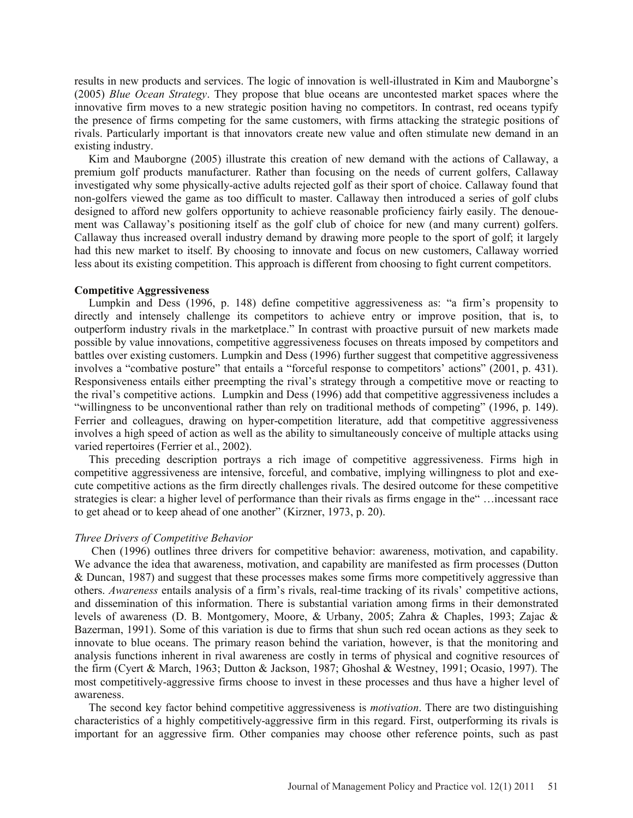results in new products and services. The logic of innovation is well-illustrated in Kim and Mauborgne's (2005) *Blue Ocean Strategy*. They propose that blue oceans are uncontested market spaces where the innovative firm moves to a new strategic position having no competitors. In contrast, red oceans typify the presence of firms competing for the same customers, with firms attacking the strategic positions of rivals. Particularly important is that innovators create new value and often stimulate new demand in an existing industry.

Kim and Mauborgne (2005) illustrate this creation of new demand with the actions of Callaway, a premium golf products manufacturer. Rather than focusing on the needs of current golfers, Callaway investigated why some physically-active adults rejected golf as their sport of choice. Callaway found that non-golfers viewed the game as too difficult to master. Callaway then introduced a series of golf clubs designed to afford new golfers opportunity to achieve reasonable proficiency fairly easily. The denouement was Callaway's positioning itself as the golf club of choice for new (and many current) golfers. Callaway thus increased overall industry demand by drawing more people to the sport of golf; it largely had this new market to itself. By choosing to innovate and focus on new customers, Callaway worried less about its existing competition. This approach is different from choosing to fight current competitors.

## **Competitive Aggressiveness**

Lumpkin and Dess (1996, p. 148) define competitive aggressiveness as: "a firm's propensity to directly and intensely challenge its competitors to achieve entry or improve position, that is, to outperform industry rivals in the marketplace." In contrast with proactive pursuit of new markets made possible by value innovations, competitive aggressiveness focuses on threats imposed by competitors and battles over existing customers. Lumpkin and Dess (1996) further suggest that competitive aggressiveness involves a "combative posture" that entails a "forceful response to competitors' actions" (2001, p. 431). Responsiveness entails either preempting the rival's strategy through a competitive move or reacting to the rival's competitive actions. Lumpkin and Dess (1996) add that competitive aggressiveness includes a "willingness to be unconventional rather than rely on traditional methods of competing" (1996, p. 149). Ferrier and colleagues, drawing on hyper-competition literature, add that competitive aggressiveness involves a high speed of action as well as the ability to simultaneously conceive of multiple attacks using varied repertoires (Ferrier et al., 2002).

This preceding description portrays a rich image of competitive aggressiveness. Firms high in competitive aggressiveness are intensive, forceful, and combative, implying willingness to plot and execute competitive actions as the firm directly challenges rivals. The desired outcome for these competitive strategies is clear: a higher level of performance than their rivals as firms engage in the" …incessant race to get ahead or to keep ahead of one another" (Kirzner, 1973, p. 20).

#### *Three Drivers of Competitive Behavior*

Chen (1996) outlines three drivers for competitive behavior: awareness, motivation, and capability. We advance the idea that awareness, motivation, and capability are manifested as firm processes (Dutton & Duncan, 1987) and suggest that these processes makes some firms more competitively aggressive than others. *Awareness* entails analysis of a firm's rivals, real-time tracking of its rivals' competitive actions, and dissemination of this information. There is substantial variation among firms in their demonstrated levels of awareness (D. B. Montgomery, Moore, & Urbany, 2005; Zahra & Chaples, 1993; Zajac & Bazerman, 1991). Some of this variation is due to firms that shun such red ocean actions as they seek to innovate to blue oceans. The primary reason behind the variation, however, is that the monitoring and analysis functions inherent in rival awareness are costly in terms of physical and cognitive resources of the firm (Cyert & March, 1963; Dutton & Jackson, 1987; Ghoshal & Westney, 1991; Ocasio, 1997). The most competitively-aggressive firms choose to invest in these processes and thus have a higher level of awareness.

The second key factor behind competitive aggressiveness is *motivation*. There are two distinguishing characteristics of a highly competitively-aggressive firm in this regard. First, outperforming its rivals is important for an aggressive firm. Other companies may choose other reference points, such as past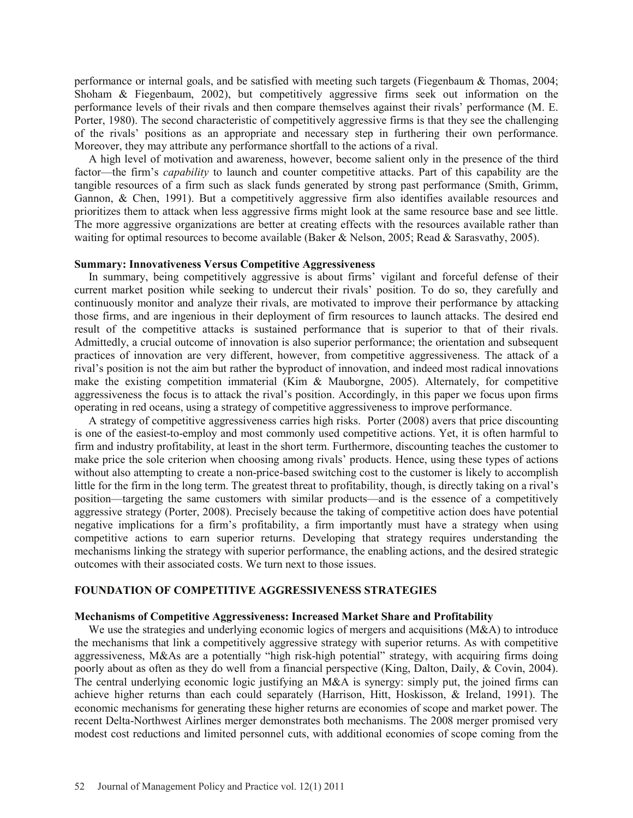performance or internal goals, and be satisfied with meeting such targets (Fiegenbaum & Thomas, 2004; Shoham & Fiegenbaum, 2002), but competitively aggressive firms seek out information on the performance levels of their rivals and then compare themselves against their rivals' performance (M. E. Porter, 1980). The second characteristic of competitively aggressive firms is that they see the challenging of the rivals' positions as an appropriate and necessary step in furthering their own performance. Moreover, they may attribute any performance shortfall to the actions of a rival.

A high level of motivation and awareness, however, become salient only in the presence of the third factor—the firm's *capability* to launch and counter competitive attacks. Part of this capability are the tangible resources of a firm such as slack funds generated by strong past performance (Smith, Grimm, Gannon, & Chen, 1991). But a competitively aggressive firm also identifies available resources and prioritizes them to attack when less aggressive firms might look at the same resource base and see little. The more aggressive organizations are better at creating effects with the resources available rather than waiting for optimal resources to become available (Baker & Nelson, 2005; Read & Sarasvathy, 2005).

### **Summary: Innovativeness Versus Competitive Aggressiveness**

In summary, being competitively aggressive is about firms' vigilant and forceful defense of their current market position while seeking to undercut their rivals' position. To do so, they carefully and continuously monitor and analyze their rivals, are motivated to improve their performance by attacking those firms, and are ingenious in their deployment of firm resources to launch attacks. The desired end result of the competitive attacks is sustained performance that is superior to that of their rivals. Admittedly, a crucial outcome of innovation is also superior performance; the orientation and subsequent practices of innovation are very different, however, from competitive aggressiveness. The attack of a rival's position is not the aim but rather the byproduct of innovation, and indeed most radical innovations make the existing competition immaterial (Kim & Mauborgne, 2005). Alternately, for competitive aggressiveness the focus is to attack the rival's position. Accordingly, in this paper we focus upon firms operating in red oceans, using a strategy of competitive aggressiveness to improve performance.

A strategy of competitive aggressiveness carries high risks. Porter (2008) avers that price discounting is one of the easiest-to-employ and most commonly used competitive actions. Yet, it is often harmful to firm and industry profitability, at least in the short term. Furthermore, discounting teaches the customer to make price the sole criterion when choosing among rivals' products. Hence, using these types of actions without also attempting to create a non-price-based switching cost to the customer is likely to accomplish little for the firm in the long term. The greatest threat to profitability, though, is directly taking on a rival's position—targeting the same customers with similar products—and is the essence of a competitively aggressive strategy (Porter, 2008). Precisely because the taking of competitive action does have potential negative implications for a firm's profitability, a firm importantly must have a strategy when using competitive actions to earn superior returns. Developing that strategy requires understanding the mechanisms linking the strategy with superior performance, the enabling actions, and the desired strategic outcomes with their associated costs. We turn next to those issues.

## **FOUNDATION OF COMPETITIVE AGGRESSIVENESS STRATEGIES**

## **Mechanisms of Competitive Aggressiveness: Increased Market Share and Profitability**

We use the strategies and underlying economic logics of mergers and acquisitions (M&A) to introduce the mechanisms that link a competitively aggressive strategy with superior returns. As with competitive aggressiveness, M&As are a potentially "high risk-high potential" strategy, with acquiring firms doing poorly about as often as they do well from a financial perspective (King, Dalton, Daily, & Covin, 2004). The central underlying economic logic justifying an M&A is synergy: simply put, the joined firms can achieve higher returns than each could separately (Harrison, Hitt, Hoskisson, & Ireland, 1991). The economic mechanisms for generating these higher returns are economies of scope and market power. The recent Delta-Northwest Airlines merger demonstrates both mechanisms. The 2008 merger promised very modest cost reductions and limited personnel cuts, with additional economies of scope coming from the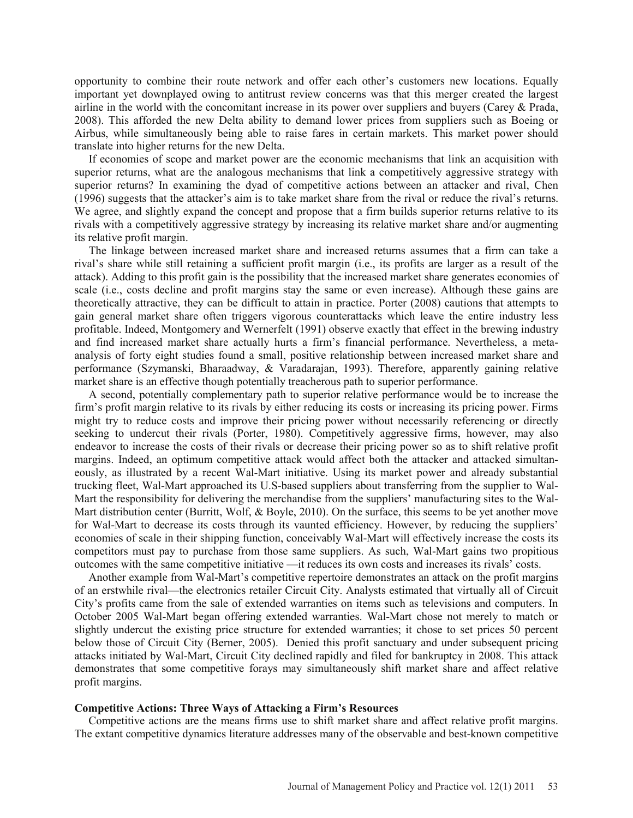opportunity to combine their route network and offer each other's customers new locations. Equally important yet downplayed owing to antitrust review concerns was that this merger created the largest airline in the world with the concomitant increase in its power over suppliers and buyers (Carey & Prada, 2008). This afforded the new Delta ability to demand lower prices from suppliers such as Boeing or Airbus, while simultaneously being able to raise fares in certain markets. This market power should translate into higher returns for the new Delta.

If economies of scope and market power are the economic mechanisms that link an acquisition with superior returns, what are the analogous mechanisms that link a competitively aggressive strategy with superior returns? In examining the dyad of competitive actions between an attacker and rival, Chen (1996) suggests that the attacker's aim is to take market share from the rival or reduce the rival's returns. We agree, and slightly expand the concept and propose that a firm builds superior returns relative to its rivals with a competitively aggressive strategy by increasing its relative market share and/or augmenting its relative profit margin.

The linkage between increased market share and increased returns assumes that a firm can take a rival's share while still retaining a sufficient profit margin (i.e., its profits are larger as a result of the attack). Adding to this profit gain is the possibility that the increased market share generates economies of scale (i.e., costs decline and profit margins stay the same or even increase). Although these gains are theoretically attractive, they can be difficult to attain in practice. Porter (2008) cautions that attempts to gain general market share often triggers vigorous counterattacks which leave the entire industry less profitable. Indeed, Montgomery and Wernerfelt (1991) observe exactly that effect in the brewing industry and find increased market share actually hurts a firm's financial performance. Nevertheless, a metaanalysis of forty eight studies found a small, positive relationship between increased market share and performance (Szymanski, Bharaadway, & Varadarajan, 1993). Therefore, apparently gaining relative market share is an effective though potentially treacherous path to superior performance.

A second, potentially complementary path to superior relative performance would be to increase the firm's profit margin relative to its rivals by either reducing its costs or increasing its pricing power. Firms might try to reduce costs and improve their pricing power without necessarily referencing or directly seeking to undercut their rivals (Porter, 1980). Competitively aggressive firms, however, may also endeavor to increase the costs of their rivals or decrease their pricing power so as to shift relative profit margins. Indeed, an optimum competitive attack would affect both the attacker and attacked simultaneously, as illustrated by a recent Wal-Mart initiative. Using its market power and already substantial trucking fleet, Wal-Mart approached its U.S-based suppliers about transferring from the supplier to Wal-Mart the responsibility for delivering the merchandise from the suppliers' manufacturing sites to the Wal-Mart distribution center (Burritt, Wolf, & Boyle, 2010). On the surface, this seems to be yet another move for Wal-Mart to decrease its costs through its vaunted efficiency. However, by reducing the suppliers' economies of scale in their shipping function, conceivably Wal-Mart will effectively increase the costs its competitors must pay to purchase from those same suppliers. As such, Wal-Mart gains two propitious outcomes with the same competitive initiative —it reduces its own costs and increases its rivals' costs.

Another example from Wal-Mart's competitive repertoire demonstrates an attack on the profit margins of an erstwhile rival—the electronics retailer Circuit City. Analysts estimated that virtually all of Circuit City's profits came from the sale of extended warranties on items such as televisions and computers. In October 2005 Wal-Mart began offering extended warranties. Wal-Mart chose not merely to match or slightly undercut the existing price structure for extended warranties; it chose to set prices 50 percent below those of Circuit City (Berner, 2005). Denied this profit sanctuary and under subsequent pricing attacks initiated by Wal-Mart, Circuit City declined rapidly and filed for bankruptcy in 2008. This attack demonstrates that some competitive forays may simultaneously shift market share and affect relative profit margins.

## **Competitive Actions: Three Ways of Attacking a Firm's Resources**

Competitive actions are the means firms use to shift market share and affect relative profit margins. The extant competitive dynamics literature addresses many of the observable and best-known competitive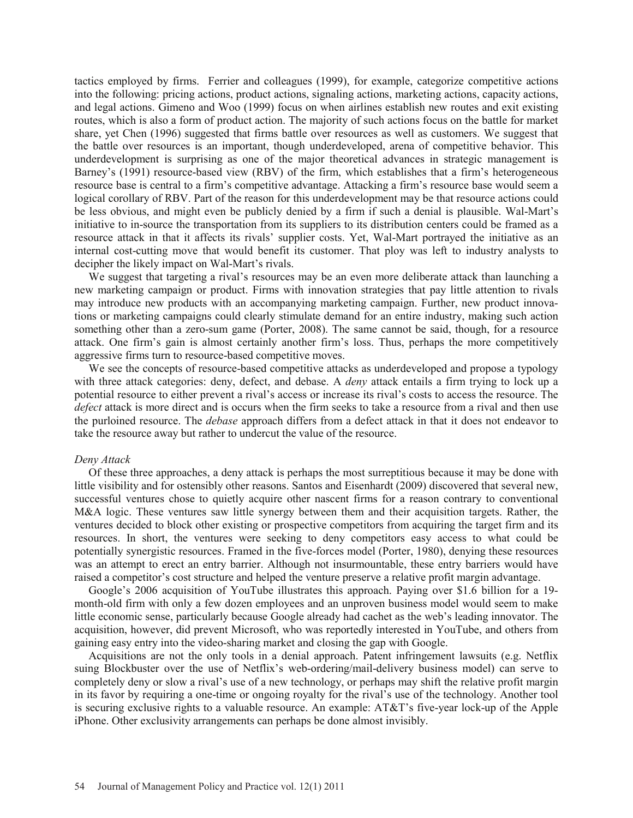tactics employed by firms. Ferrier and colleagues (1999), for example, categorize competitive actions into the following: pricing actions, product actions, signaling actions, marketing actions, capacity actions, and legal actions. Gimeno and Woo (1999) focus on when airlines establish new routes and exit existing routes, which is also a form of product action. The majority of such actions focus on the battle for market share, yet Chen (1996) suggested that firms battle over resources as well as customers. We suggest that the battle over resources is an important, though underdeveloped, arena of competitive behavior. This underdevelopment is surprising as one of the major theoretical advances in strategic management is Barney's (1991) resource-based view (RBV) of the firm, which establishes that a firm's heterogeneous resource base is central to a firm's competitive advantage. Attacking a firm's resource base would seem a logical corollary of RBV. Part of the reason for this underdevelopment may be that resource actions could be less obvious, and might even be publicly denied by a firm if such a denial is plausible. Wal-Mart's initiative to in-source the transportation from its suppliers to its distribution centers could be framed as a resource attack in that it affects its rivals' supplier costs. Yet, Wal-Mart portrayed the initiative as an internal cost-cutting move that would benefit its customer. That ploy was left to industry analysts to decipher the likely impact on Wal-Mart's rivals.

We suggest that targeting a rival's resources may be an even more deliberate attack than launching a new marketing campaign or product. Firms with innovation strategies that pay little attention to rivals may introduce new products with an accompanying marketing campaign. Further, new product innovations or marketing campaigns could clearly stimulate demand for an entire industry, making such action something other than a zero-sum game (Porter, 2008). The same cannot be said, though, for a resource attack. One firm's gain is almost certainly another firm's loss. Thus, perhaps the more competitively aggressive firms turn to resource-based competitive moves.

We see the concepts of resource-based competitive attacks as underdeveloped and propose a typology with three attack categories: deny, defect, and debase. A *deny* attack entails a firm trying to lock up a potential resource to either prevent a rival's access or increase its rival's costs to access the resource. The *defect* attack is more direct and is occurs when the firm seeks to take a resource from a rival and then use the purloined resource. The *debase* approach differs from a defect attack in that it does not endeavor to take the resource away but rather to undercut the value of the resource.

## *Deny Attack*

Of these three approaches, a deny attack is perhaps the most surreptitious because it may be done with little visibility and for ostensibly other reasons. Santos and Eisenhardt (2009) discovered that several new, successful ventures chose to quietly acquire other nascent firms for a reason contrary to conventional M&A logic. These ventures saw little synergy between them and their acquisition targets. Rather, the ventures decided to block other existing or prospective competitors from acquiring the target firm and its resources. In short, the ventures were seeking to deny competitors easy access to what could be potentially synergistic resources. Framed in the five-forces model (Porter, 1980), denying these resources was an attempt to erect an entry barrier. Although not insurmountable, these entry barriers would have raised a competitor's cost structure and helped the venture preserve a relative profit margin advantage.

Google's 2006 acquisition of YouTube illustrates this approach. Paying over \$1.6 billion for a 19 month-old firm with only a few dozen employees and an unproven business model would seem to make little economic sense, particularly because Google already had cachet as the web's leading innovator. The acquisition, however, did prevent Microsoft, who was reportedly interested in YouTube, and others from gaining easy entry into the video-sharing market and closing the gap with Google.

Acquisitions are not the only tools in a denial approach. Patent infringement lawsuits (e.g. Netflix suing Blockbuster over the use of Netflix's web-ordering/mail-delivery business model) can serve to completely deny or slow a rival's use of a new technology, or perhaps may shift the relative profit margin in its favor by requiring a one-time or ongoing royalty for the rival's use of the technology. Another tool is securing exclusive rights to a valuable resource. An example: AT&T's five-year lock-up of the Apple iPhone. Other exclusivity arrangements can perhaps be done almost invisibly.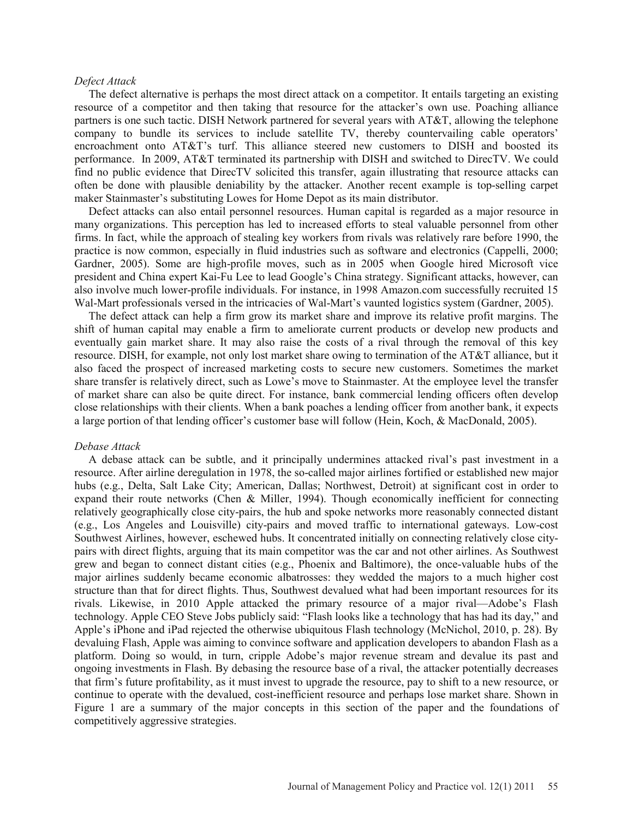## *Defect Attack*

The defect alternative is perhaps the most direct attack on a competitor. It entails targeting an existing resource of a competitor and then taking that resource for the attacker's own use. Poaching alliance partners is one such tactic. DISH Network partnered for several years with AT&T, allowing the telephone company to bundle its services to include satellite TV, thereby countervailing cable operators' encroachment onto AT&T's turf. This alliance steered new customers to DISH and boosted its performance. In 2009, AT&T terminated its partnership with DISH and switched to DirecTV. We could find no public evidence that DirecTV solicited this transfer, again illustrating that resource attacks can often be done with plausible deniability by the attacker. Another recent example is top-selling carpet maker Stainmaster's substituting Lowes for Home Depot as its main distributor.

Defect attacks can also entail personnel resources. Human capital is regarded as a major resource in many organizations. This perception has led to increased efforts to steal valuable personnel from other firms. In fact, while the approach of stealing key workers from rivals was relatively rare before 1990, the practice is now common, especially in fluid industries such as software and electronics (Cappelli, 2000; Gardner, 2005). Some are high-profile moves, such as in 2005 when Google hired Microsoft vice president and China expert Kai-Fu Lee to lead Google's China strategy. Significant attacks, however, can also involve much lower-profile individuals. For instance, in 1998 Amazon.com successfully recruited 15 Wal-Mart professionals versed in the intricacies of Wal-Mart's vaunted logistics system (Gardner, 2005).

The defect attack can help a firm grow its market share and improve its relative profit margins. The shift of human capital may enable a firm to ameliorate current products or develop new products and eventually gain market share. It may also raise the costs of a rival through the removal of this key resource. DISH, for example, not only lost market share owing to termination of the AT&T alliance, but it also faced the prospect of increased marketing costs to secure new customers. Sometimes the market share transfer is relatively direct, such as Lowe's move to Stainmaster. At the employee level the transfer of market share can also be quite direct. For instance, bank commercial lending officers often develop close relationships with their clients. When a bank poaches a lending officer from another bank, it expects a large portion of that lending officer's customer base will follow (Hein, Koch, & MacDonald, 2005).

#### *Debase Attack*

A debase attack can be subtle, and it principally undermines attacked rival's past investment in a resource. After airline deregulation in 1978, the so-called major airlines fortified or established new major hubs (e.g., Delta, Salt Lake City; American, Dallas; Northwest, Detroit) at significant cost in order to expand their route networks (Chen & Miller, 1994). Though economically inefficient for connecting relatively geographically close city-pairs, the hub and spoke networks more reasonably connected distant (e.g., Los Angeles and Louisville) city-pairs and moved traffic to international gateways. Low-cost Southwest Airlines, however, eschewed hubs. It concentrated initially on connecting relatively close citypairs with direct flights, arguing that its main competitor was the car and not other airlines. As Southwest grew and began to connect distant cities (e.g., Phoenix and Baltimore), the once-valuable hubs of the major airlines suddenly became economic albatrosses: they wedded the majors to a much higher cost structure than that for direct flights. Thus, Southwest devalued what had been important resources for its rivals. Likewise, in 2010 Apple attacked the primary resource of a major rival—Adobe's Flash technology. Apple CEO Steve Jobs publicly said: "Flash looks like a technology that has had its day," and Apple's iPhone and iPad rejected the otherwise ubiquitous Flash technology (McNichol, 2010, p. 28). By devaluing Flash, Apple was aiming to convince software and application developers to abandon Flash as a platform. Doing so would, in turn, cripple Adobe's major revenue stream and devalue its past and ongoing investments in Flash. By debasing the resource base of a rival, the attacker potentially decreases that firm's future profitability, as it must invest to upgrade the resource, pay to shift to a new resource, or continue to operate with the devalued, cost-inefficient resource and perhaps lose market share. Shown in Figure 1 are a summary of the major concepts in this section of the paper and the foundations of competitively aggressive strategies.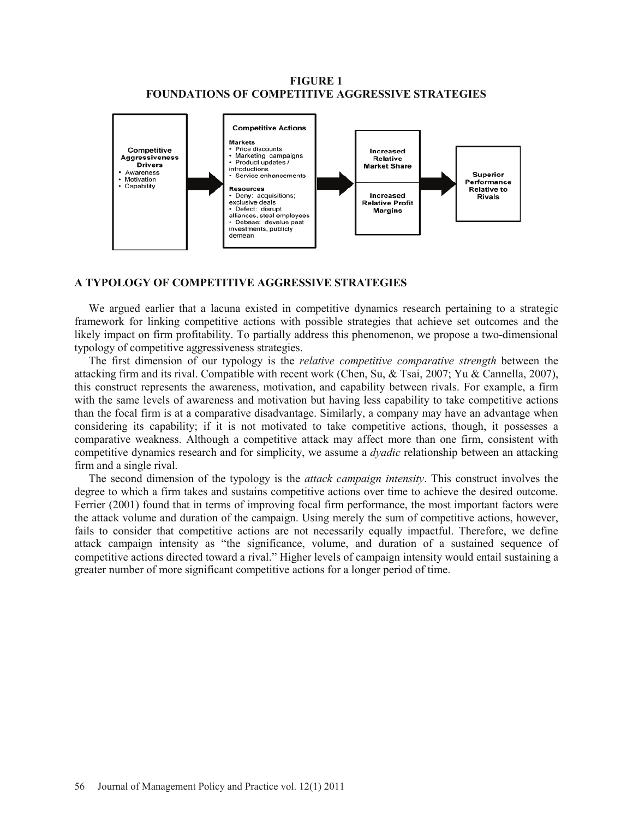## **FIGURE 1 FOUNDATIONS OF COMPETITIVE AGGRESSIVE STRATEGIES**



#### **A TYPOLOGY OF COMPETITIVE AGGRESSIVE STRATEGIES**

We argued earlier that a lacuna existed in competitive dynamics research pertaining to a strategic framework for linking competitive actions with possible strategies that achieve set outcomes and the likely impact on firm profitability. To partially address this phenomenon, we propose a two-dimensional typology of competitive aggressiveness strategies.

The first dimension of our typology is the *relative competitive comparative strength* between the attacking firm and its rival. Compatible with recent work (Chen, Su, & Tsai, 2007; Yu & Cannella, 2007), this construct represents the awareness, motivation, and capability between rivals. For example, a firm with the same levels of awareness and motivation but having less capability to take competitive actions than the focal firm is at a comparative disadvantage. Similarly, a company may have an advantage when considering its capability; if it is not motivated to take competitive actions, though, it possesses a comparative weakness. Although a competitive attack may affect more than one firm, consistent with competitive dynamics research and for simplicity, we assume a *dyadic* relationship between an attacking firm and a single rival.

The second dimension of the typology is the *attack campaign intensity*. This construct involves the degree to which a firm takes and sustains competitive actions over time to achieve the desired outcome. Ferrier (2001) found that in terms of improving focal firm performance, the most important factors were the attack volume and duration of the campaign. Using merely the sum of competitive actions, however, fails to consider that competitive actions are not necessarily equally impactful. Therefore, we define attack campaign intensity as "the significance, volume, and duration of a sustained sequence of competitive actions directed toward a rival." Higher levels of campaign intensity would entail sustaining a greater number of more significant competitive actions for a longer period of time.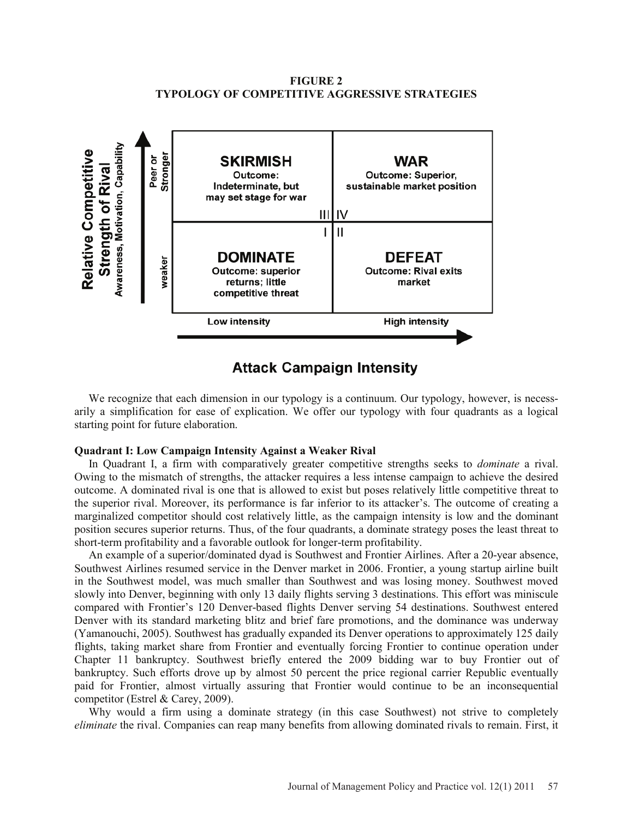**FIGURE 2 TYPOLOGY OF COMPETITIVE AGGRESSIVE STRATEGIES**



# **Attack Campaign Intensity**

We recognize that each dimension in our typology is a continuum. Our typology, however, is necessarily a simplification for ease of explication. We offer our typology with four quadrants as a logical starting point for future elaboration.

## **Quadrant I: Low Campaign Intensity Against a Weaker Rival**

In Quadrant I, a firm with comparatively greater competitive strengths seeks to *dominate* a rival. Owing to the mismatch of strengths, the attacker requires a less intense campaign to achieve the desired outcome. A dominated rival is one that is allowed to exist but poses relatively little competitive threat to the superior rival. Moreover, its performance is far inferior to its attacker's. The outcome of creating a marginalized competitor should cost relatively little, as the campaign intensity is low and the dominant position secures superior returns. Thus, of the four quadrants, a dominate strategy poses the least threat to short-term profitability and a favorable outlook for longer-term profitability.

An example of a superior/dominated dyad is Southwest and Frontier Airlines. After a 20-year absence, Southwest Airlines resumed service in the Denver market in 2006. Frontier, a young startup airline built in the Southwest model, was much smaller than Southwest and was losing money. Southwest moved slowly into Denver, beginning with only 13 daily flights serving 3 destinations. This effort was miniscule compared with Frontier's 120 Denver-based flights Denver serving 54 destinations. Southwest entered Denver with its standard marketing blitz and brief fare promotions, and the dominance was underway (Yamanouchi, 2005). Southwest has gradually expanded its Denver operations to approximately 125 daily flights, taking market share from Frontier and eventually forcing Frontier to continue operation under Chapter 11 bankruptcy. Southwest briefly entered the 2009 bidding war to buy Frontier out of bankruptcy. Such efforts drove up by almost 50 percent the price regional carrier Republic eventually paid for Frontier, almost virtually assuring that Frontier would continue to be an inconsequential competitor (Estrel & Carey, 2009).

Why would a firm using a dominate strategy (in this case Southwest) not strive to completely *eliminate* the rival. Companies can reap many benefits from allowing dominated rivals to remain. First, it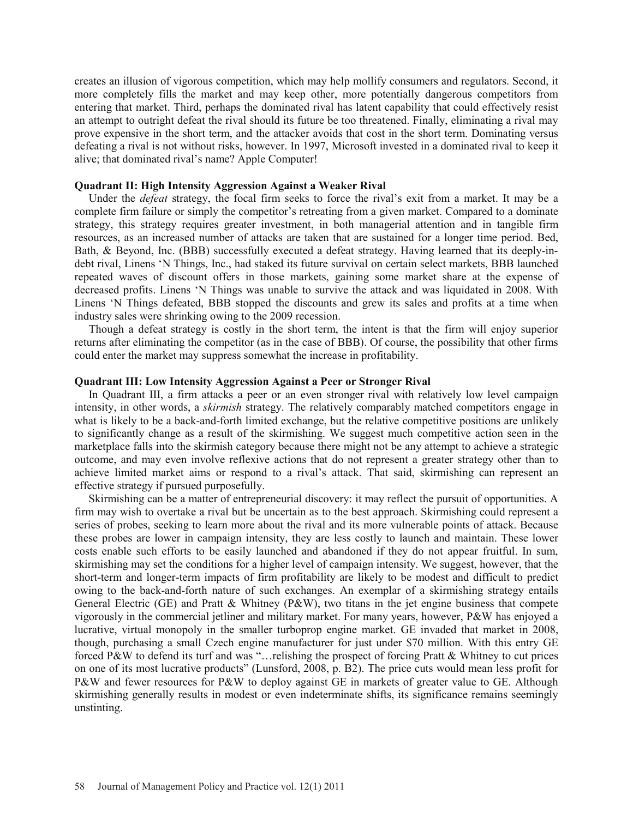creates an illusion of vigorous competition, which may help mollify consumers and regulators. Second, it more completely fills the market and may keep other, more potentially dangerous competitors from entering that market. Third, perhaps the dominated rival has latent capability that could effectively resist an attempt to outright defeat the rival should its future be too threatened. Finally, eliminating a rival may prove expensive in the short term, and the attacker avoids that cost in the short term. Dominating versus defeating a rival is not without risks, however. In 1997, Microsoft invested in a dominated rival to keep it alive; that dominated rival's name? Apple Computer!

### **Quadrant II: High Intensity Aggression Against a Weaker Rival**

Under the *defeat* strategy, the focal firm seeks to force the rival's exit from a market. It may be a complete firm failure or simply the competitor's retreating from a given market. Compared to a dominate strategy, this strategy requires greater investment, in both managerial attention and in tangible firm resources, as an increased number of attacks are taken that are sustained for a longer time period. Bed, Bath, & Beyond, Inc. (BBB) successfully executed a defeat strategy. Having learned that its deeply-indebt rival, Linens 'N Things, Inc., had staked its future survival on certain select markets, BBB launched repeated waves of discount offers in those markets, gaining some market share at the expense of decreased profits. Linens 'N Things was unable to survive the attack and was liquidated in 2008. With Linens 'N Things defeated, BBB stopped the discounts and grew its sales and profits at a time when industry sales were shrinking owing to the 2009 recession.

Though a defeat strategy is costly in the short term, the intent is that the firm will enjoy superior returns after eliminating the competitor (as in the case of BBB). Of course, the possibility that other firms could enter the market may suppress somewhat the increase in profitability.

## **Quadrant III: Low Intensity Aggression Against a Peer or Stronger Rival**

In Quadrant III, a firm attacks a peer or an even stronger rival with relatively low level campaign intensity, in other words, a *skirmish* strategy. The relatively comparably matched competitors engage in what is likely to be a back-and-forth limited exchange, but the relative competitive positions are unlikely to significantly change as a result of the skirmishing. We suggest much competitive action seen in the marketplace falls into the skirmish category because there might not be any attempt to achieve a strategic outcome, and may even involve reflexive actions that do not represent a greater strategy other than to achieve limited market aims or respond to a rival's attack. That said, skirmishing can represent an effective strategy if pursued purposefully.

Skirmishing can be a matter of entrepreneurial discovery: it may reflect the pursuit of opportunities. A firm may wish to overtake a rival but be uncertain as to the best approach. Skirmishing could represent a series of probes, seeking to learn more about the rival and its more vulnerable points of attack. Because these probes are lower in campaign intensity, they are less costly to launch and maintain. These lower costs enable such efforts to be easily launched and abandoned if they do not appear fruitful. In sum, skirmishing may set the conditions for a higher level of campaign intensity. We suggest, however, that the short-term and longer-term impacts of firm profitability are likely to be modest and difficult to predict owing to the back-and-forth nature of such exchanges. An exemplar of a skirmishing strategy entails General Electric (GE) and Pratt & Whitney (P&W), two titans in the jet engine business that compete vigorously in the commercial jetliner and military market. For many years, however, P&W has enjoyed a lucrative, virtual monopoly in the smaller turboprop engine market. GE invaded that market in 2008, though, purchasing a small Czech engine manufacturer for just under \$70 million. With this entry GE forced P&W to defend its turf and was "…relishing the prospect of forcing Pratt & Whitney to cut prices on one of its most lucrative products" (Lunsford, 2008, p. B2). The price cuts would mean less profit for P&W and fewer resources for P&W to deploy against GE in markets of greater value to GE. Although skirmishing generally results in modest or even indeterminate shifts, its significance remains seemingly unstinting.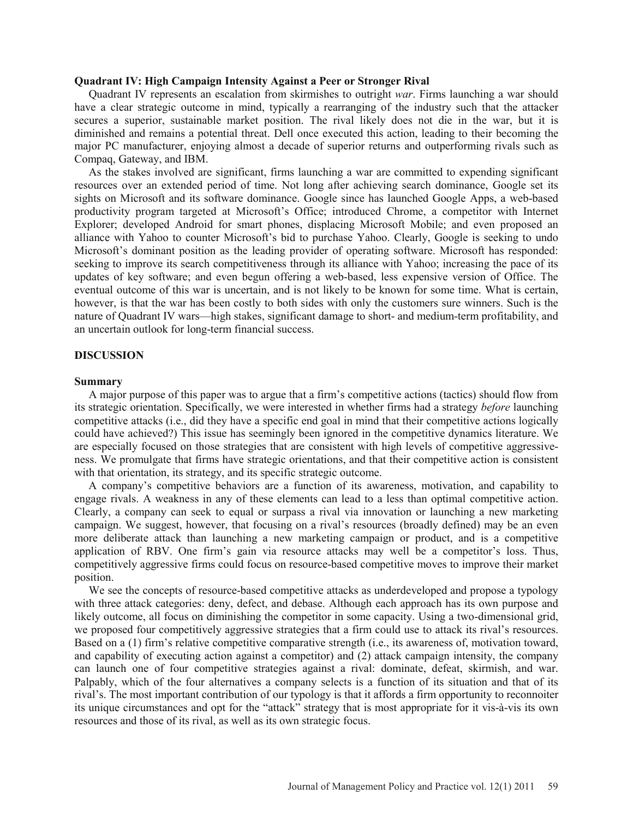## **Quadrant IV: High Campaign Intensity Against a Peer or Stronger Rival**

Quadrant IV represents an escalation from skirmishes to outright *war*. Firms launching a war should have a clear strategic outcome in mind, typically a rearranging of the industry such that the attacker secures a superior, sustainable market position. The rival likely does not die in the war, but it is diminished and remains a potential threat. Dell once executed this action, leading to their becoming the major PC manufacturer, enjoying almost a decade of superior returns and outperforming rivals such as Compaq, Gateway, and IBM.

As the stakes involved are significant, firms launching a war are committed to expending significant resources over an extended period of time. Not long after achieving search dominance, Google set its sights on Microsoft and its software dominance. Google since has launched Google Apps, a web-based productivity program targeted at Microsoft's Office; introduced Chrome, a competitor with Internet Explorer; developed Android for smart phones, displacing Microsoft Mobile; and even proposed an alliance with Yahoo to counter Microsoft's bid to purchase Yahoo. Clearly, Google is seeking to undo Microsoft's dominant position as the leading provider of operating software. Microsoft has responded: seeking to improve its search competitiveness through its alliance with Yahoo; increasing the pace of its updates of key software; and even begun offering a web-based, less expensive version of Office. The eventual outcome of this war is uncertain, and is not likely to be known for some time. What is certain, however, is that the war has been costly to both sides with only the customers sure winners. Such is the nature of Quadrant IV wars—high stakes, significant damage to short- and medium-term profitability, and an uncertain outlook for long-term financial success.

## **DISCUSSION**

## **Summary**

A major purpose of this paper was to argue that a firm's competitive actions (tactics) should flow from its strategic orientation. Specifically, we were interested in whether firms had a strategy *before* launching competitive attacks (i.e., did they have a specific end goal in mind that their competitive actions logically could have achieved?) This issue has seemingly been ignored in the competitive dynamics literature. We are especially focused on those strategies that are consistent with high levels of competitive aggressiveness. We promulgate that firms have strategic orientations, and that their competitive action is consistent with that orientation, its strategy, and its specific strategic outcome.

A company's competitive behaviors are a function of its awareness, motivation, and capability to engage rivals. A weakness in any of these elements can lead to a less than optimal competitive action. Clearly, a company can seek to equal or surpass a rival via innovation or launching a new marketing campaign. We suggest, however, that focusing on a rival's resources (broadly defined) may be an even more deliberate attack than launching a new marketing campaign or product, and is a competitive application of RBV. One firm's gain via resource attacks may well be a competitor's loss. Thus, competitively aggressive firms could focus on resource-based competitive moves to improve their market position.

We see the concepts of resource-based competitive attacks as underdeveloped and propose a typology with three attack categories: deny, defect, and debase. Although each approach has its own purpose and likely outcome, all focus on diminishing the competitor in some capacity. Using a two-dimensional grid, we proposed four competitively aggressive strategies that a firm could use to attack its rival's resources. Based on a (1) firm's relative competitive comparative strength (i.e., its awareness of, motivation toward, and capability of executing action against a competitor) and (2) attack campaign intensity, the company can launch one of four competitive strategies against a rival: dominate, defeat, skirmish, and war. Palpably, which of the four alternatives a company selects is a function of its situation and that of its rival's. The most important contribution of our typology is that it affords a firm opportunity to reconnoiter its unique circumstances and opt for the "attack" strategy that is most appropriate for it vis-à-vis its own resources and those of its rival, as well as its own strategic focus.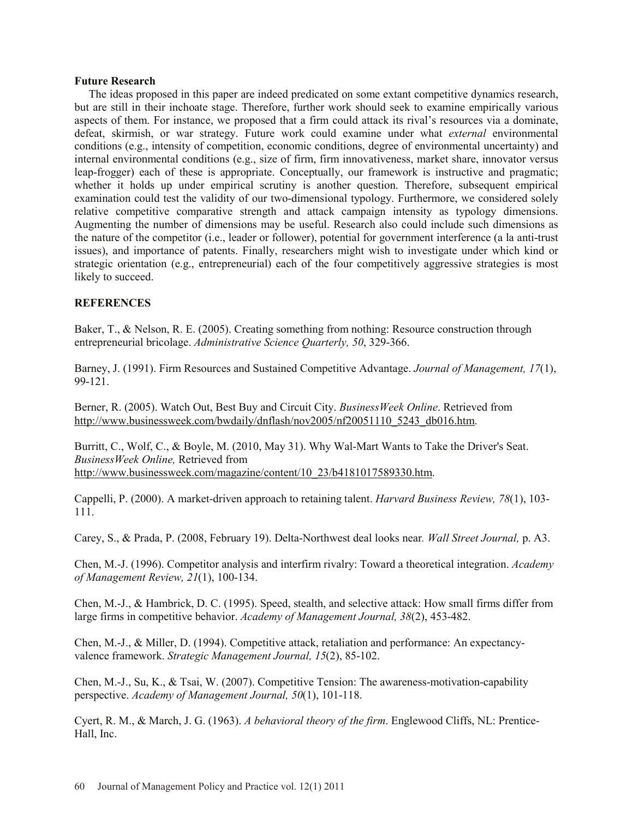## **Future Research**

The ideas proposed in this paper are indeed predicated on some extant competitive dynamics research, but are still in their inchoate stage. Therefore, further work should seek to examine empirically various aspects of them. For instance, we proposed that a firm could attack its rival's resources via a dominate, defeat, skirmish, or war strategy. Future work could examine under what *external* environmental conditions (e.g., intensity of competition, economic conditions, degree of environmental uncertainty) and internal environmental conditions (e.g., size of firm, firm innovativeness, market share, innovator versus leap-frogger) each of these is appropriate. Conceptually, our framework is instructive and pragmatic; whether it holds up under empirical scrutiny is another question. Therefore, subsequent empirical examination could test the validity of our two-dimensional typology. Furthermore, we considered solely relative competitive comparative strength and attack campaign intensity as typology dimensions. Augmenting the number of dimensions may be useful. Research also could include such dimensions as the nature of the competitor (i.e., leader or follower), potential for government interference (a la anti-trust issues), and importance of patents. Finally, researchers might wish to investigate under which kind or strategic orientation (e.g., entrepreneurial) each of the four competitively aggressive strategies is most likely to succeed.

# **REFERENCES**

Baker, T., & Nelson, R. E. (2005). Creating something from nothing: Resource construction through entrepreneurial bricolage. *Administrative Science Quarterly, 50*, 329-366.

Barney, J. (1991). Firm Resources and Sustained Competitive Advantage. *Journal of Management, 17*(1), 99-121.

Berner, R. (2005). Watch Out, Best Buy and Circuit City. *BusinessWeek Online*. Retrieved from http://www.businessweek.com/bwdaily/dnflash/nov2005/nf20051110\_5243\_db016.htm.

Burritt, C., Wolf, C., & Boyle, M. (2010, May 31). Why Wal-Mart Wants to Take the Driver's Seat. *BusinessWeek Online,* Retrieved from http://www.businessweek.com/magazine/content/10\_23/b4181017589330.htm.

Cappelli, P. (2000). A market-driven approach to retaining talent. *Harvard Business Review, 78*(1), 103- 111.

Carey, S., & Prada, P. (2008, February 19). Delta-Northwest deal looks near*. Wall Street Journal,* p. A3.

Chen, M.-J. (1996). Competitor analysis and interfirm rivalry: Toward a theoretical integration. *Academy of Management Review, 21*(1), 100-134.

Chen, M.-J., & Hambrick, D. C. (1995). Speed, stealth, and selective attack: How small firms differ from large firms in competitive behavior. *Academy of Management Journal, 38*(2), 453-482.

Chen, M.-J., & Miller, D. (1994). Competitive attack, retaliation and performance: An expectancyvalence framework. *Strategic Management Journal, 15*(2), 85-102.

Chen, M.-J., Su, K., & Tsai, W. (2007). Competitive Tension: The awareness-motivation-capability perspective. *Academy of Management Journal, 50*(1), 101-118.

Cyert, R. M., & March, J. G. (1963). *A behavioral theory of the firm*. Englewood Cliffs, NL: Prentice-Hall, Inc.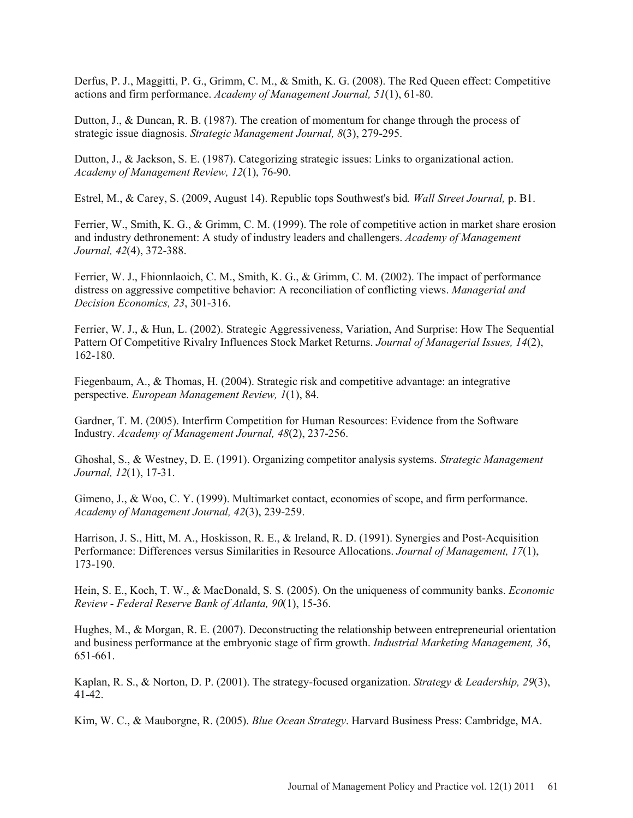Derfus, P. J., Maggitti, P. G., Grimm, C. M., & Smith, K. G. (2008). The Red Queen effect: Competitive actions and firm performance. *Academy of Management Journal, 51*(1), 61-80.

Dutton, J., & Duncan, R. B. (1987). The creation of momentum for change through the process of strategic issue diagnosis. *Strategic Management Journal, 8*(3), 279-295.

Dutton, J., & Jackson, S. E. (1987). Categorizing strategic issues: Links to organizational action. *Academy of Management Review, 12*(1), 76-90.

Estrel, M., & Carey, S. (2009, August 14). Republic tops Southwest's bid*. Wall Street Journal,* p. B1.

Ferrier, W., Smith, K. G., & Grimm, C. M. (1999). The role of competitive action in market share erosion and industry dethronement: A study of industry leaders and challengers. *Academy of Management Journal, 42*(4), 372-388.

Ferrier, W. J., Fhionnlaoich, C. M., Smith, K. G., & Grimm, C. M. (2002). The impact of performance distress on aggressive competitive behavior: A reconciliation of conflicting views. *Managerial and Decision Economics, 23*, 301-316.

Ferrier, W. J., & Hun, L. (2002). Strategic Aggressiveness, Variation, And Surprise: How The Sequential Pattern Of Competitive Rivalry Influences Stock Market Returns. *Journal of Managerial Issues, 14*(2), 162-180.

Fiegenbaum, A., & Thomas, H. (2004). Strategic risk and competitive advantage: an integrative perspective. *European Management Review, 1*(1), 84.

Gardner, T. M. (2005). Interfirm Competition for Human Resources: Evidence from the Software Industry. *Academy of Management Journal, 48*(2), 237-256.

Ghoshal, S., & Westney, D. E. (1991). Organizing competitor analysis systems. *Strategic Management Journal, 12*(1), 17-31.

Gimeno, J., & Woo, C. Y. (1999). Multimarket contact, economies of scope, and firm performance. *Academy of Management Journal, 42*(3), 239-259.

Harrison, J. S., Hitt, M. A., Hoskisson, R. E., & Ireland, R. D. (1991). Synergies and Post-Acquisition Performance: Differences versus Similarities in Resource Allocations. *Journal of Management, 17*(1), 173-190.

Hein, S. E., Koch, T. W., & MacDonald, S. S. (2005). On the uniqueness of community banks. *Economic Review - Federal Reserve Bank of Atlanta, 90*(1), 15-36.

Hughes, M., & Morgan, R. E. (2007). Deconstructing the relationship between entrepreneurial orientation and business performance at the embryonic stage of firm growth. *Industrial Marketing Management, 36*, 651-661.

Kaplan, R. S., & Norton, D. P. (2001). The strategy-focused organization. *Strategy & Leadership, 29*(3), 41-42.

Kim, W. C., & Mauborgne, R. (2005). *Blue Ocean Strategy*. Harvard Business Press: Cambridge, MA.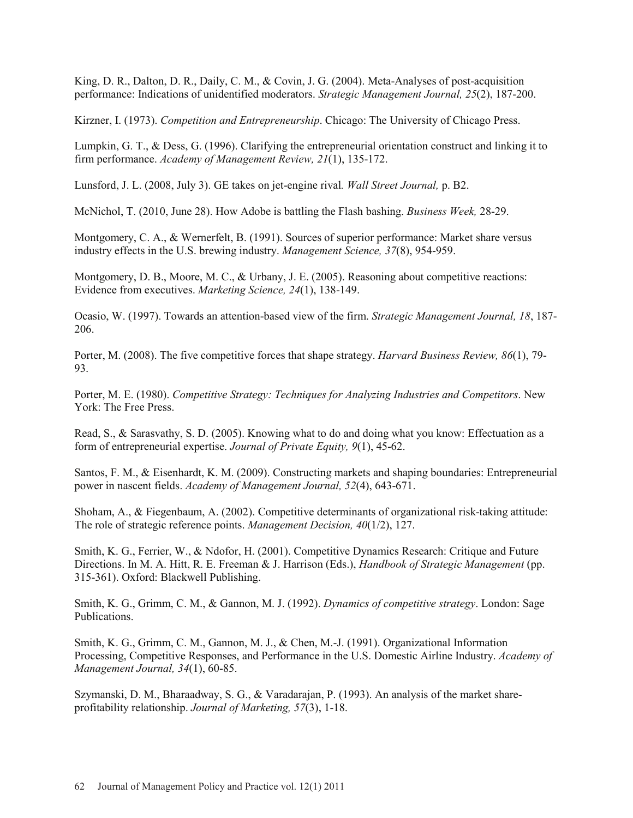King, D. R., Dalton, D. R., Daily, C. M., & Covin, J. G. (2004). Meta-Analyses of post-acquisition performance: Indications of unidentified moderators. *Strategic Management Journal, 25*(2), 187-200.

Kirzner, I. (1973). *Competition and Entrepreneurship*. Chicago: The University of Chicago Press.

Lumpkin, G. T., & Dess, G. (1996). Clarifying the entrepreneurial orientation construct and linking it to firm performance. *Academy of Management Review, 21*(1), 135-172.

Lunsford, J. L. (2008, July 3). GE takes on jet-engine rival*. Wall Street Journal,* p. B2.

McNichol, T. (2010, June 28). How Adobe is battling the Flash bashing. *Business Week,* 28-29.

Montgomery, C. A., & Wernerfelt, B. (1991). Sources of superior performance: Market share versus industry effects in the U.S. brewing industry. *Management Science, 37*(8), 954-959.

Montgomery, D. B., Moore, M. C., & Urbany, J. E. (2005). Reasoning about competitive reactions: Evidence from executives. *Marketing Science, 24*(1), 138-149.

Ocasio, W. (1997). Towards an attention-based view of the firm. *Strategic Management Journal, 18*, 187- 206.

Porter, M. (2008). The five competitive forces that shape strategy. *Harvard Business Review, 86*(1), 79- 93.

Porter, M. E. (1980). *Competitive Strategy: Techniques for Analyzing Industries and Competitors*. New York: The Free Press.

Read, S., & Sarasvathy, S. D. (2005). Knowing what to do and doing what you know: Effectuation as a form of entrepreneurial expertise. *Journal of Private Equity, 9*(1), 45-62.

Santos, F. M., & Eisenhardt, K. M. (2009). Constructing markets and shaping boundaries: Entrepreneurial power in nascent fields. *Academy of Management Journal, 52*(4), 643-671.

Shoham, A., & Fiegenbaum, A. (2002). Competitive determinants of organizational risk-taking attitude: The role of strategic reference points. *Management Decision, 40*(1/2), 127.

Smith, K. G., Ferrier, W., & Ndofor, H. (2001). Competitive Dynamics Research: Critique and Future Directions. In M. A. Hitt, R. E. Freeman & J. Harrison (Eds.), *Handbook of Strategic Management* (pp. 315-361). Oxford: Blackwell Publishing.

Smith, K. G., Grimm, C. M., & Gannon, M. J. (1992). *Dynamics of competitive strategy*. London: Sage Publications.

Smith, K. G., Grimm, C. M., Gannon, M. J., & Chen, M.-J. (1991). Organizational Information Processing, Competitive Responses, and Performance in the U.S. Domestic Airline Industry. *Academy of Management Journal, 34*(1), 60-85.

Szymanski, D. M., Bharaadway, S. G., & Varadarajan, P. (1993). An analysis of the market shareprofitability relationship. *Journal of Marketing, 57*(3), 1-18.